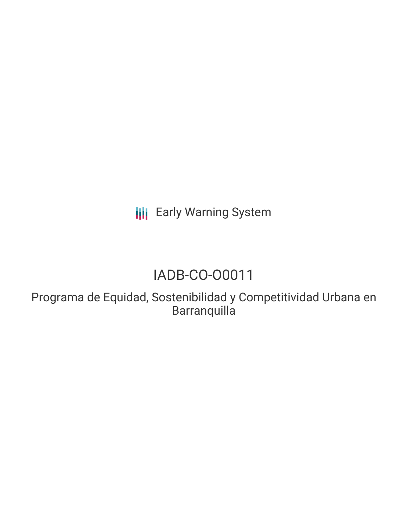**III** Early Warning System

# IADB-CO-O0011

Programa de Equidad, Sostenibilidad y Competitividad Urbana en **Barranquilla**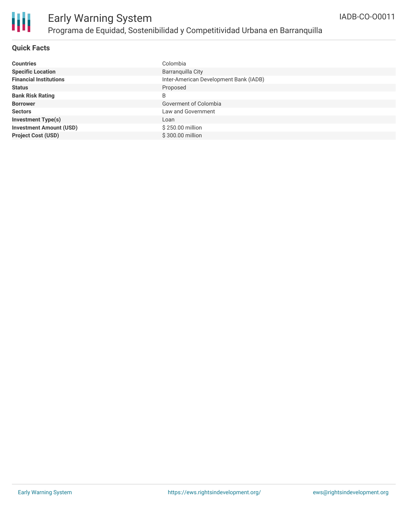

### **Quick Facts**

| <b>Countries</b>               | Colombia                               |
|--------------------------------|----------------------------------------|
| <b>Specific Location</b>       | Barranquilla City                      |
| <b>Financial Institutions</b>  | Inter-American Development Bank (IADB) |
| <b>Status</b>                  | Proposed                               |
| <b>Bank Risk Rating</b>        | B                                      |
| <b>Borrower</b>                | Goverment of Colombia                  |
| <b>Sectors</b>                 | Law and Government                     |
| <b>Investment Type(s)</b>      | Loan                                   |
| <b>Investment Amount (USD)</b> | \$250.00 million                       |
| <b>Project Cost (USD)</b>      | \$300,00 million                       |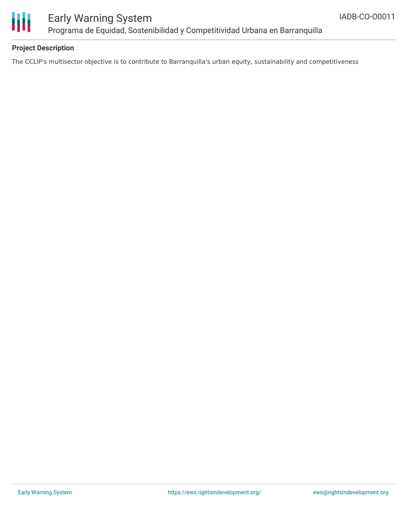

### **Project Description**

The CCLIP's multisector objective is to contribute to Barranquilla's urban equity, sustainability and competitiveness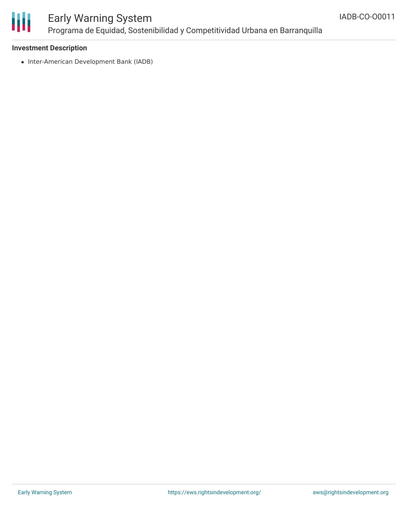

#### **Investment Description**

• Inter-American Development Bank (IADB)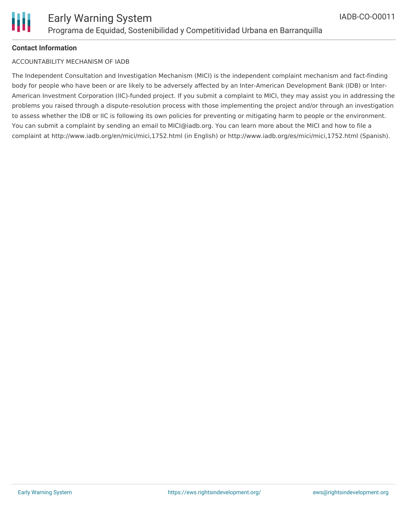

#### **Contact Information**

#### ACCOUNTABILITY MECHANISM OF IADB

The Independent Consultation and Investigation Mechanism (MICI) is the independent complaint mechanism and fact-finding body for people who have been or are likely to be adversely affected by an Inter-American Development Bank (IDB) or Inter-American Investment Corporation (IIC)-funded project. If you submit a complaint to MICI, they may assist you in addressing the problems you raised through a dispute-resolution process with those implementing the project and/or through an investigation to assess whether the IDB or IIC is following its own policies for preventing or mitigating harm to people or the environment. You can submit a complaint by sending an email to MICI@iadb.org. You can learn more about the MICI and how to file a complaint at http://www.iadb.org/en/mici/mici,1752.html (in English) or http://www.iadb.org/es/mici/mici,1752.html (Spanish).